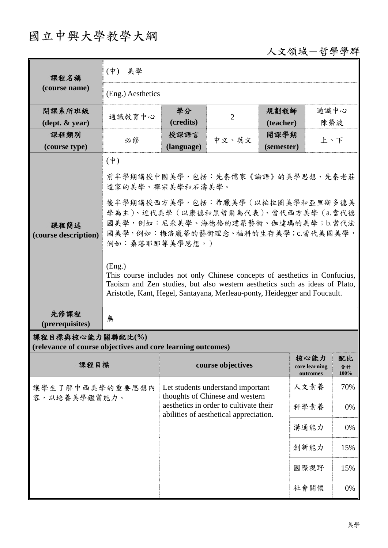## 國立中興大學教學大綱

## 人文領域-哲學學群

| 課程名稱                                                                            | $(\phi)$<br>美學                                                                                                                                                                                                                                                                                                                                                                                                                                                                                 |                                                                                  |                   |            |                                   |                  |  |
|---------------------------------------------------------------------------------|------------------------------------------------------------------------------------------------------------------------------------------------------------------------------------------------------------------------------------------------------------------------------------------------------------------------------------------------------------------------------------------------------------------------------------------------------------------------------------------------|----------------------------------------------------------------------------------|-------------------|------------|-----------------------------------|------------------|--|
| (course name)                                                                   | (Eng.) Aesthetics                                                                                                                                                                                                                                                                                                                                                                                                                                                                              |                                                                                  |                   |            |                                   |                  |  |
| 開課系所班級                                                                          |                                                                                                                                                                                                                                                                                                                                                                                                                                                                                                | 學分                                                                               |                   | 規劃教師       | 通識中心                              |                  |  |
| $(\text{dept.} \& \text{ year})$                                                | 通識教育中心                                                                                                                                                                                                                                                                                                                                                                                                                                                                                         | (credits)                                                                        | $\overline{2}$    | (teacher)  | 陳榮波                               |                  |  |
| 課程類別                                                                            | 必修                                                                                                                                                                                                                                                                                                                                                                                                                                                                                             | 授課語言                                                                             | 中文、英文             | 開課學期       | 上、下                               |                  |  |
| (course type)                                                                   |                                                                                                                                                                                                                                                                                                                                                                                                                                                                                                | (language)                                                                       |                   | (semester) |                                   |                  |  |
| 課程簡述<br>(course description)                                                    | $(\phi)$<br>前半學期講授中國美學,包括:先秦儒家《論語》的美學思想、先秦老莊<br>道家的美學、禪宗美學和石濤美學。<br>後半學期講授西方美學,包括:希臘美學(以柏拉圖美學和亞里斯多德美<br>學為主)、近代美學 ( 以康德和黑哲爾為代表)、當代西方美學 (a.當代德<br>國美學,例如:尼采美學、海德格的建築藝術、伽達瑪的美學;b.當代法<br>國美學,例如:梅洛龐蒂的藝術理念、福科的生存美學;c.當代美國美學,<br>例如:桑塔耶那等美學思想。)<br>(Eng.)<br>This course includes not only Chinese concepts of aesthetics in Confucius,<br>Taoism and Zen studies, but also western aesthetics such as ideas of Plato,<br>Aristotle, Kant, Hegel, Santayana, Merleau-ponty, Heidegger and Foucault. |                                                                                  |                   |            |                                   |                  |  |
| 先修課程<br>(prerequisites)                                                         | 無                                                                                                                                                                                                                                                                                                                                                                                                                                                                                              |                                                                                  |                   |            |                                   |                  |  |
| 課程目標與核心能力關聯配比(%)<br>(relevance of course objectives and core learning outcomes) |                                                                                                                                                                                                                                                                                                                                                                                                                                                                                                |                                                                                  |                   |            |                                   |                  |  |
| 課程目標                                                                            |                                                                                                                                                                                                                                                                                                                                                                                                                                                                                                |                                                                                  | course objectives |            | 核心能力<br>core learning<br>outcomes | 配比<br>合計<br>100% |  |
| 讓學生了解中西美學的重要思想內<br>容,以培養美學鑑賞能力。                                                 |                                                                                                                                                                                                                                                                                                                                                                                                                                                                                                | Let students understand important<br>thoughts of Chinese and western             |                   |            | 人文素養                              | 70%              |  |
|                                                                                 |                                                                                                                                                                                                                                                                                                                                                                                                                                                                                                | aesthetics in order to cultivate their<br>abilities of aesthetical appreciation. |                   |            | 科學素養                              | $0\%$            |  |
|                                                                                 |                                                                                                                                                                                                                                                                                                                                                                                                                                                                                                |                                                                                  |                   |            | 溝通能力                              | 0%               |  |
|                                                                                 |                                                                                                                                                                                                                                                                                                                                                                                                                                                                                                |                                                                                  |                   |            | 創新能力                              | 15%              |  |
|                                                                                 |                                                                                                                                                                                                                                                                                                                                                                                                                                                                                                |                                                                                  |                   |            | 國際視野                              | 15%              |  |
|                                                                                 |                                                                                                                                                                                                                                                                                                                                                                                                                                                                                                |                                                                                  |                   |            | 社會關懷                              | 0%               |  |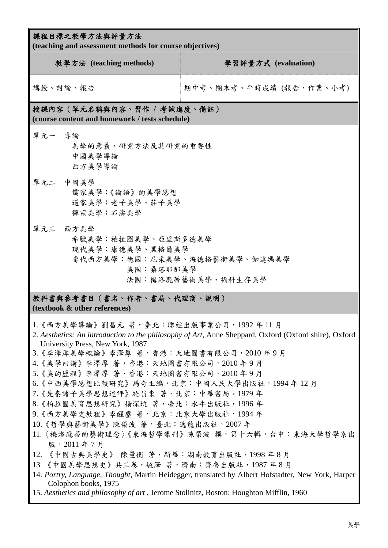| 課程目標之教學方法與評量方法<br>(teaching and assessment methods for course objectives)                                                                                                                                                                                                                                                                                                                                                                                                                                                                                                                                                        |                                                                                                                                                                                                                                                             |  |  |  |  |
|----------------------------------------------------------------------------------------------------------------------------------------------------------------------------------------------------------------------------------------------------------------------------------------------------------------------------------------------------------------------------------------------------------------------------------------------------------------------------------------------------------------------------------------------------------------------------------------------------------------------------------|-------------------------------------------------------------------------------------------------------------------------------------------------------------------------------------------------------------------------------------------------------------|--|--|--|--|
| 教學方法 (teaching methods)                                                                                                                                                                                                                                                                                                                                                                                                                                                                                                                                                                                                          | 學習評量方式 (evaluation)                                                                                                                                                                                                                                         |  |  |  |  |
| 講授、討論、報告                                                                                                                                                                                                                                                                                                                                                                                                                                                                                                                                                                                                                         | 期中考、期末考、平時成績 (報告、作業、小考)                                                                                                                                                                                                                                     |  |  |  |  |
| 授課內容 (單元名稱與內容、習作 / 考試進度、備註)<br>(course content and homework / tests schedule)                                                                                                                                                                                                                                                                                                                                                                                                                                                                                                                                                    |                                                                                                                                                                                                                                                             |  |  |  |  |
| 單元一 導論<br>美學的意義、研究方法及其研究的重要性<br>中國美學導論<br>西方美學導論                                                                                                                                                                                                                                                                                                                                                                                                                                                                                                                                                                                 |                                                                                                                                                                                                                                                             |  |  |  |  |
| 單元二 中國美學<br>儒家美學:《論語》的美學思想<br>道家美學:老子美學、莊子美學<br>禪宗美學:石濤美學                                                                                                                                                                                                                                                                                                                                                                                                                                                                                                                                                                        |                                                                                                                                                                                                                                                             |  |  |  |  |
| 單元三 西方美學<br>希臘美學:柏拉圖美學、亞里斯多德美學<br>現代美學:康德美學、黑格爾美學<br>美國:桑塔耶那美學                                                                                                                                                                                                                                                                                                                                                                                                                                                                                                                                                                   | 當代西方美學:德國:尼采美學、海德格藝術美學、伽達瑪美學<br>法國:梅洛龐蒂藝術美學、福科生存美學                                                                                                                                                                                                          |  |  |  |  |
| 教科書與參考書目(書名、作者、書局、代理商、說明)<br>(textbook & other references)                                                                                                                                                                                                                                                                                                                                                                                                                                                                                                                                                                       |                                                                                                                                                                                                                                                             |  |  |  |  |
| 1.《西方美學導論》劉昌元 著,臺北:聯經出版事業公司,1992 年 11 月<br>University Press, New York, 1987<br>3.《李澤厚美學概論》李澤厚 著,香港:天地圖書有限公司,2010年9月<br>4.《美學四講》李澤厚 著,香港:天地圖書有限公司,2010年9月<br>5.《美的歷程》李澤厚 著,香港:天地圖書有限公司,2010年9月<br>6. 《中西美學思想比較研究》馬奇主編, 北京: 中國人民大學出版社, 1994年12月<br>7. 《先秦諸子美學思想述評》施昌東 著, 北京: 中華書局, 1979年<br>8. 《柏拉圖美育思想研究》楊深坑 著,臺北:水牛出版社,1996年<br>9. 《西方美學史教程》李醒塵 著,北京:北京大學出版社,1994年<br> 10.《哲學與藝術美學》陳榮波 著,臺北:逸龍出版社,2007年<br>版, 2011年7月<br>12. 《中國古典美學史》 陳量衡 著, 新華:湖南教育出版社, 1998年8月<br>13 《中國美學思想史》共三卷, 敏澤 著, 濟南: 齊魯出版社, 1987年8月<br>Colophon books, 1975<br>15. Aesthetics and philosophy of art, Jerome Stolinitz, Boston: Houghton Mifflin, 1960 | 2. Aesthetics: An introduction to the philosophy of Art, Anne Sheppard, Oxford (Oxford shire), Oxford<br>11.〈梅洛龐蒂的藝術理念〉《東海哲學集刊》陳榮波 撰,第十六輯,台中:東海大學哲學系出<br>14. Portry, Language, Thought, Martin Heidegger, translated by Albert Hofstadter, New York, Harper |  |  |  |  |